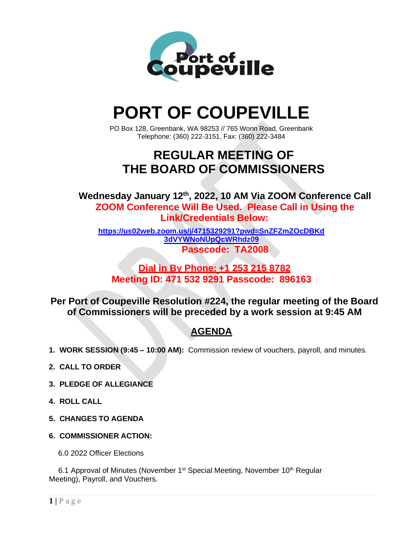

# **PORT OF COUPEVILLE**

PO Box 128, Greenbank, WA 98253 // 765 Wonn Road, Greenbank Telephone: (360) 222-3151, Fax: (360) 222-3484

# **REGULAR MEETING OF THE BOARD OF COMMISSIONERS**

**Wednesday January 12th , 2022, 10 AM Via ZOOM Conference Call ZOOM Conference Will Be Used. Please Call in Using the Link/Credentials Below:**

**[https://us02web.zoom.us/j/4715329291?pwd=SnZFZmZOcDBKd](https://us02web.zoom.us/j/4715329291?pwd=SnZFZmZOcDBKd3dVYWNoNUpQcWRhdz09) [3dVYWNoNUpQcWRhdz09](https://us02web.zoom.us/j/4715329291?pwd=SnZFZmZOcDBKd3dVYWNoNUpQcWRhdz09) Passcode: TA2008**

### **Dial in By Phone: +1 253 215 8782 Meeting ID: 471 532 9291 Passcode: 896163**

**Per Port of Coupeville Resolution #224, the regular meeting of the Board of Commissioners will be preceded by a work session at 9:45 AM**

## **AGENDA**

- **1. WORK SESSION (9:45 – 10:00 AM):** Commission review of vouchers, payroll, and minutes.
- **2. CALL TO ORDER**
- **3. PLEDGE OF ALLEGIANCE**
- **4. ROLL CALL**
- **5. CHANGES TO AGENDA**
- **6. COMMISSIONER ACTION:**

6.0 2022 Officer Elections

6.1 Approval of Minutes (November 1<sup>st</sup> Special Meeting, November 10<sup>th</sup> Regular Meeting), Payroll, and Vouchers.